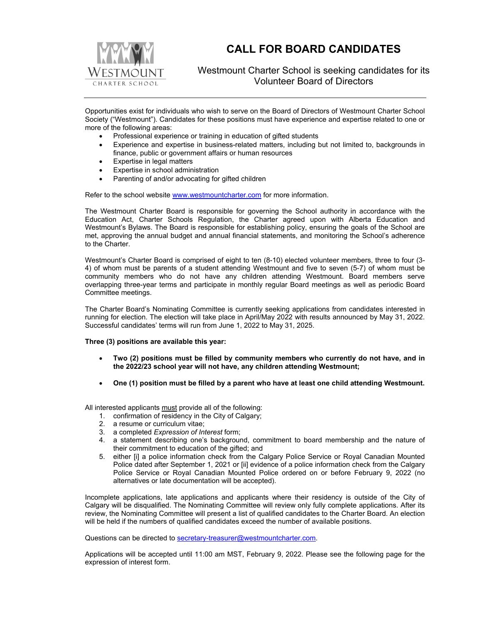

# **CALL FOR BOARD CANDIDATES**

### Westmount Charter School is seeking candidates for its Volunteer Board of Directors

Opportunities exist for individuals who wish to serve on the Board of Directors of Westmount Charter School Society ("Westmount"). Candidates for these positions must have experience and expertise related to one or more of the following areas:

- Professional experience or training in education of gifted students
- Experience and expertise in business-related matters, including but not limited to, backgrounds in finance, public or government affairs or human resources
- Expertise in legal matters
- Expertise in school administration
- Parenting of and/or advocating for gifted children

Refer to the school website www.westmountcharter.com for more information.

The Westmount Charter Board is responsible for governing the School authority in accordance with the Education Act, Charter Schools Regulation, the Charter agreed upon with Alberta Education and Westmount's Bylaws. The Board is responsible for establishing policy, ensuring the goals of the School are met, approving the annual budget and annual financial statements, and monitoring the School's adherence to the Charter.

Westmount's Charter Board is comprised of eight to ten (8-10) elected volunteer members, three to four (3- 4) of whom must be parents of a student attending Westmount and five to seven (5-7) of whom must be community members who do not have any children attending Westmount. Board members serve overlapping three-year terms and participate in monthly regular Board meetings as well as periodic Board Committee meetings.

The Charter Board's Nominating Committee is currently seeking applications from candidates interested in running for election. The election will take place in April/May 2022 with results announced by May 31, 2022. Successful candidates' terms will run from June 1, 2022 to May 31, 2025.

#### **Three (3) positions are available this year:**

- **Two (2) positions must be filled by community members who currently do not have, and in the 2022/23 school year will not have, any children attending Westmount;**
- **One (1) position must be filled by a parent who have at least one child attending Westmount.**

All interested applicants must provide all of the following:

- 1. confirmation of residency in the City of Calgary;
- 2. a resume or curriculum vitae;
- 3. a completed *Expression of Interest* form;
- 4. a statement describing one's background, commitment to board membership and the nature of their commitment to education of the gifted; and
- 5. either [i] a police information check from the Calgary Police Service or Royal Canadian Mounted Police dated after September 1, 2021 or [ii] evidence of a police information check from the Calgary Police Service or Royal Canadian Mounted Police ordered on or before February 9, 2022 (no alternatives or late documentation will be accepted).

Incomplete applications, late applications and applicants where their residency is outside of the City of Calgary will be disqualified. The Nominating Committee will review only fully complete applications. After its review, the Nominating Committee will present a list of qualified candidates to the Charter Board. An election will be held if the numbers of qualified candidates exceed the number of available positions.

Questions can be directed to secretary-treasurer@westmountcharter.com.

Applications will be accepted until 11:00 am MST, February 9, 2022. Please see the following page for the expression of interest form.